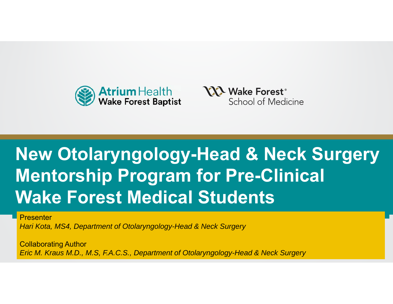



#### Program for Pro-C Ref Modies Studente **New Otolaryngology-Head & Neck Surgery Mentorship Program for Pre-Clinical Wake Forest Medical Students**

**Presenter** 

*Hari Kota, MS4, Department of Otolaryngology-Head & Neck Surgery*

**Collaborating Author** *Eric M. Kraus M.D., M.S, F.A.C.S., Department of Otolaryngology-Head & Neck Surgery*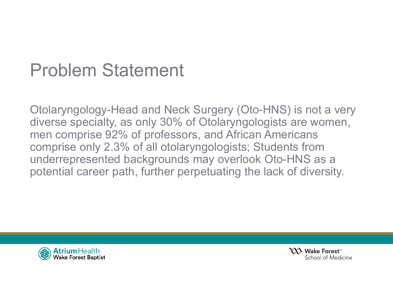#### Problem Statement

Otolaryngology-Head and Neck Surgery (Oto-HNS) is not a very diverse specialty, as only 30% of Otolaryngologists are women, men comprise 92% of professors, and African Americans comprise only 2.3% of all otolaryngologists; Students from underrepresented backgrounds may overlook Oto-HNS as a potential career path, further perpetuating the lack of diversity.



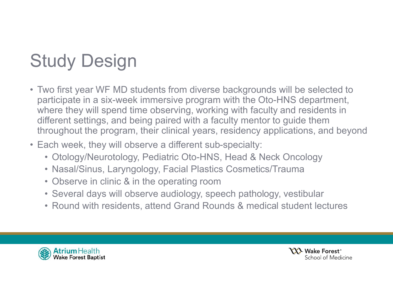# Study Design

- Two first year WF MD students from diverse backgrounds will be selected to participate in a six-week immersive program with the Oto-HNS department, where they will spend time observing, working with faculty and residents in different settings, and being paired with a faculty mentor to guide them throughout the program, their clinical years, residency applications, and beyond
- Each week, they will observe a different sub-specialty:
	- Otology/Neurotology, Pediatric Oto-HNS, Head & Neck Oncology
	- Nasal/Sinus, Laryngology, Facial Plastics Cosmetics/Trauma
	- Observe in clinic & in the operating room
	- Several days will observe audiology, speech pathology, vestibular
	- Round with residents, attend Grand Rounds & medical student lectures



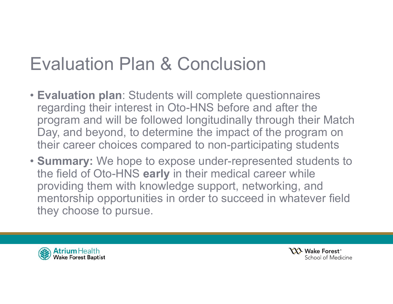### Evaluation Plan & Conclusion

- **Evaluation plan**: Students will complete questionnaires regarding their interest in Oto-HNS before and after the program and will be followed longitudinally through their Match Day, and beyond, to determine the impact of the program on their career choices compared to non-participating students
- **Summary:** We hope to expose under-represented students to the field of Oto-HNS **early** in their medical career while providing them with knowledge support, networking, and mentorship opportunities in order to succeed in whatever field they choose to pursue.



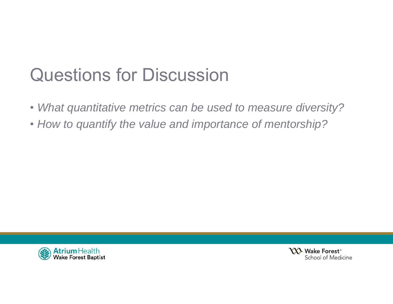### Questions for Discussion

- *What quantitative metrics can be used to measure diversity?*
- *How to quantify the value and importance of mentorship?*